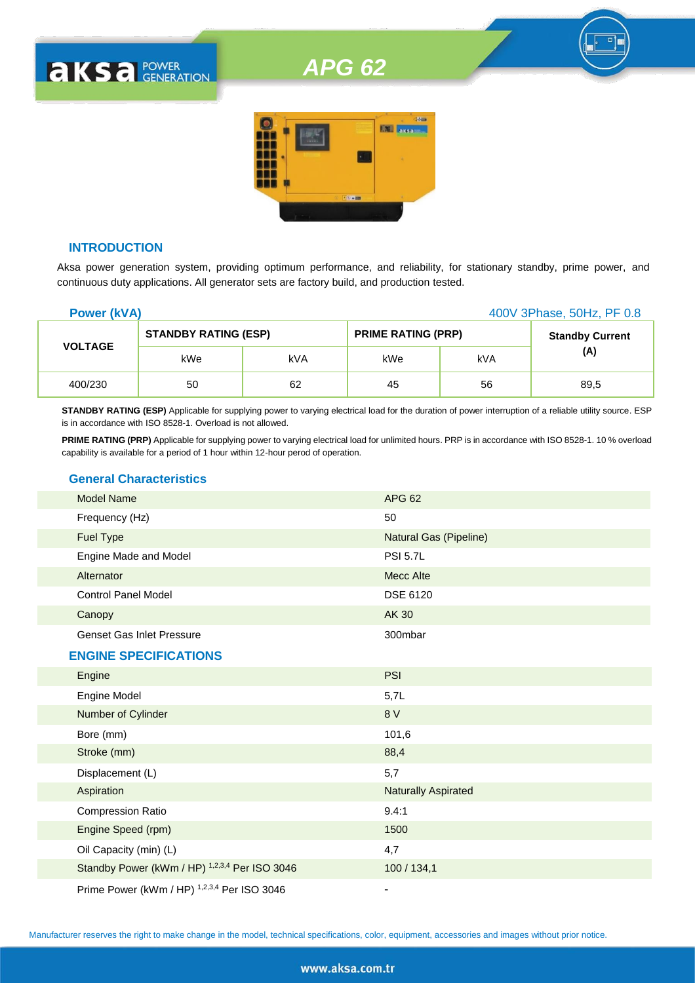# *APG 62*



#### **INTRODUCTION**

**aksa POWER** 

Aksa power generation system, providing optimum performance, and reliability, for stationary standby, prime power, and continuous duty applications. All generator sets are factory build, and production tested.

| <b>Power (kVA)</b> |                             |     |                           |     | 400V 3Phase, 50Hz, PF 0.8 |
|--------------------|-----------------------------|-----|---------------------------|-----|---------------------------|
|                    | <b>STANDBY RATING (ESP)</b> |     | <b>PRIME RATING (PRP)</b> |     | <b>Standby Current</b>    |
| <b>VOLTAGE</b>     | kWe                         | kVA | kWe                       | kVA | (A)                       |
| 400/230            | 50                          | 62  | 45                        | 56  | 89,5                      |

**STANDBY RATING (ESP)** Applicable for supplying power to varying electrical load for the duration of power interruption of a reliable utility source. ESP is in accordance with ISO 8528-1. Overload is not allowed.

PRIME RATING (PRP) Applicable for supplying power to varying electrical load for unlimited hours. PRP is in accordance with ISO 8528-1. 10 % overload capability is available for a period of 1 hour within 12-hour perod of operation.

# **General Characteristics**

| <b>Model Name</b>                             | <b>APG 62</b>              |
|-----------------------------------------------|----------------------------|
| Frequency (Hz)                                | 50                         |
| Fuel Type                                     | Natural Gas (Pipeline)     |
| Engine Made and Model                         | <b>PSI 5.7L</b>            |
| Alternator                                    | <b>Mecc Alte</b>           |
| <b>Control Panel Model</b>                    | <b>DSE 6120</b>            |
| Canopy                                        | <b>AK 30</b>               |
| <b>Genset Gas Inlet Pressure</b>              | 300mbar                    |
| <b>ENGINE SPECIFICATIONS</b>                  |                            |
| Engine                                        | <b>PSI</b>                 |
| Engine Model                                  | 5,7L                       |
| Number of Cylinder                            | 8 V                        |
| Bore (mm)                                     | 101,6                      |
| Stroke (mm)                                   | 88,4                       |
| Displacement (L)                              | 5,7                        |
| Aspiration                                    | <b>Naturally Aspirated</b> |
| <b>Compression Ratio</b>                      | 9.4:1                      |
| Engine Speed (rpm)                            | 1500                       |
| Oil Capacity (min) (L)                        | 4,7                        |
| Standby Power (kWm / HP) 1,2,3,4 Per ISO 3046 | 100 / 134,1                |
| Prime Power (kWm / HP) 1,2,3,4 Per ISO 3046   | $\overline{\phantom{a}}$   |

Manufacturer reserves the right to make change in the model, technical specifications, color, equipment, accessories and images without prior notice.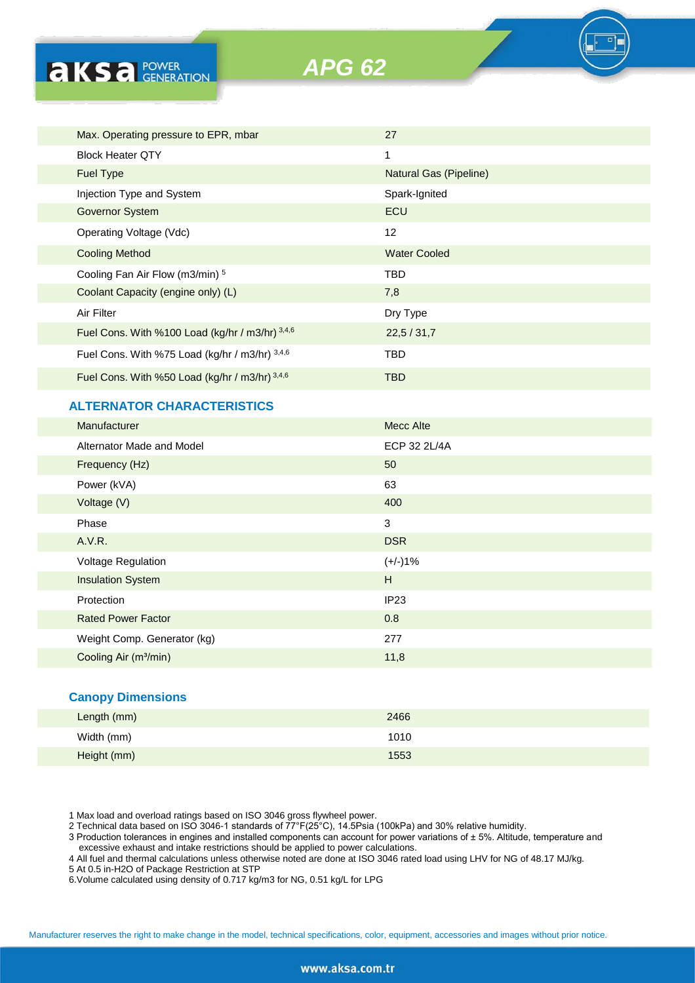**AKSA POWER** 

*APG 62*

| Max. Operating pressure to EPR, mbar              | 27                     |
|---------------------------------------------------|------------------------|
| <b>Block Heater QTY</b>                           | 1                      |
| <b>Fuel Type</b>                                  | Natural Gas (Pipeline) |
| Injection Type and System                         | Spark-Ignited          |
| Governor System                                   | ECU                    |
| Operating Voltage (Vdc)                           | 12                     |
| <b>Cooling Method</b>                             | <b>Water Cooled</b>    |
| Cooling Fan Air Flow (m3/min) 5                   | <b>TBD</b>             |
| Coolant Capacity (engine only) (L)                | 7,8                    |
| Air Filter                                        | Dry Type               |
| Fuel Cons. With %100 Load (kg/hr / m3/hr) $3,4,6$ | 22.5 / 31.7            |
| Fuel Cons. With %75 Load (kg/hr / m3/hr) $3,4,6$  | <b>TBD</b>             |
| Fuel Cons. With %50 Load (kg/hr / m3/hr) 3,4,6    | <b>TBD</b>             |
|                                                   |                        |

# **ALTERNATOR CHARACTERISTICS**

| Manufacturer                      | Mecc Alte    |
|-----------------------------------|--------------|
| Alternator Made and Model         | ECP 32 2L/4A |
| Frequency (Hz)                    | 50           |
| Power (kVA)                       | 63           |
| Voltage (V)                       | 400          |
| Phase                             | 3            |
| A.V.R.                            | <b>DSR</b>   |
| <b>Voltage Regulation</b>         | $(+/-)1%$    |
| <b>Insulation System</b>          | H            |
| Protection                        | IP23         |
| <b>Rated Power Factor</b>         | 0.8          |
| Weight Comp. Generator (kg)       | 277          |
| Cooling Air (m <sup>3</sup> /min) | 11,8         |

### **Canopy Dimensions**

| Length (mm) | 2466 |
|-------------|------|
| Width (mm)  | 1010 |
| Height (mm) | 1553 |

1 Max load and overload ratings based on ISO 3046 gross flywheel power.

2 Technical data based on ISO 3046-1 standards of 77°F(25°C), 14.5Psia (100kPa) and 30% relative humidity.

3 Production tolerances in engines and installed components can account for power variations of ± 5%. Altitude, temperature and excessive exhaust and intake restrictions should be applied to power calculations.

4 All fuel and thermal calculations unless otherwise noted are done at ISO 3046 rated load using LHV for NG of 48.17 MJ/kg.

5 At 0.5 in-H2O of Package Restriction at STP

6.Volume calculated using density of 0.717 kg/m3 for NG, 0.51 kg/L for LPG

Manufacturer reserves the right to make change in the model, technical specifications, color, equipment, accessories and images without prior notice.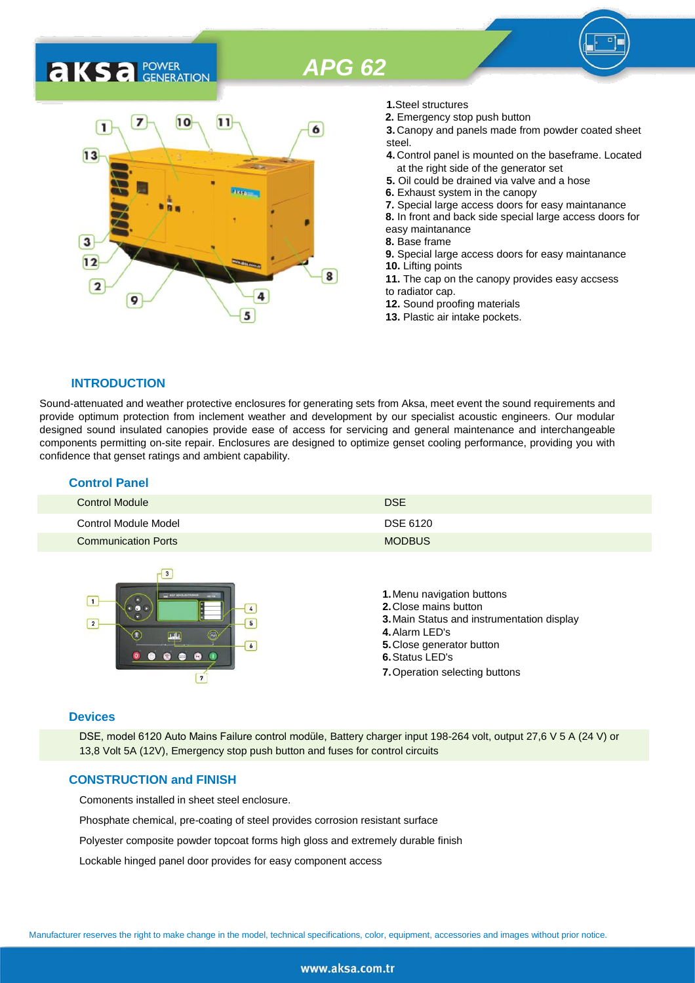# *APG 62*

# 7  $10$ 11  $\mathbf{I}$  $13$  $\overline{3}$  $12$ 8  $\overline{2}$ 4 q 5

- **1.**Steel structures
- **2.** Emergency stop push button<br>**6 2. 2. 3.** Canopy and panels made from
	- **3.** Canopy and panels made from powder coated sheet steel.
	- **4.** Control panel is mounted on the baseframe. Located at the right side of the generator set
	- **5.** Oil could be drained via valve and a hose
	- **6.** Exhaust system in the canopy
	- **7.** Special large access doors for easy maintanance
	- **8.** In front and back side special large access doors for
	- easy maintanance
	- **8.** Base frame
	- **9.** Special large access doors for easy maintanance **10.** Lifting points **11.** The cap on the canopy provides easy accsess
	- to radiator cap.
	- **12.** Sound proofing materials
	- **13.** Plastic air intake pockets.

#### **INTRODUCTION**

**AKSA FOWER** 

Sound-attenuated and weather protective enclosures for generating sets from Aksa, meet event the sound requirements and provide optimum protection from inclement weather and development by our specialist acoustic engineers. Our modular designed sound insulated canopies provide ease of access for servicing and general maintenance and interchangeable components permitting on-site repair. Enclosures are designed to optimize genset cooling performance, providing you with confidence that genset ratings and ambient capability.

# **Control Panel**

| <b>Control Module</b>      | <b>DSE</b>    |
|----------------------------|---------------|
| Control Module Model       | DSE 6120      |
| <b>Communication Ports</b> | <b>MODBUS</b> |



#### **Devices**

DSE, model 6120 Auto Mains Failure control modüle, Battery charger input 198-264 volt, output 27,6 V 5 A (24 V) or 13,8 Volt 5A (12V), Emergency stop push button and fuses for control circuits

#### **CONSTRUCTION and FINISH**

Comonents installed in sheet steel enclosure.

Phosphate chemical, pre-coating of steel provides corrosion resistant surface

Polyester composite powder topcoat forms high gloss and extremely durable finish

Lockable hinged panel door provides for easy component access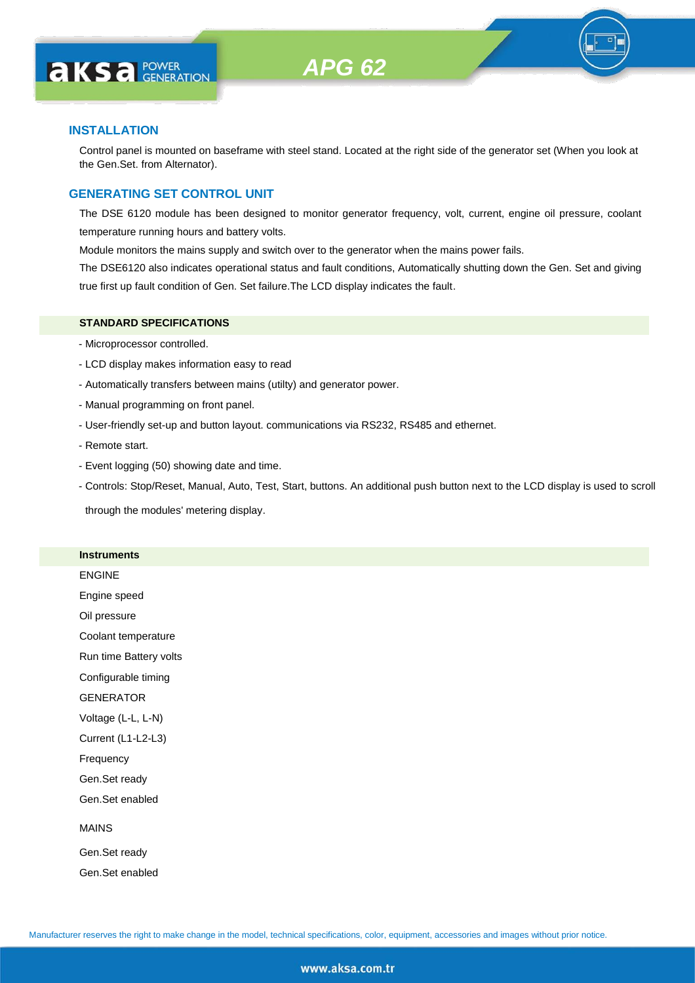

#### **INSTALLATION**

Control panel is mounted on baseframe with steel stand. Located at the right side of the generator set (When you look at the Gen.Set. from Alternator).

#### **GENERATING SET CONTROL UNIT**

The DSE 6120 module has been designed to monitor generator frequency, volt, current, engine oil pressure, coolant temperature running hours and battery volts.

Module monitors the mains supply and switch over to the generator when the mains power fails.

The DSE6120 also indicates operational status and fault conditions, Automatically shutting down the Gen. Set and giving true first up fault condition of Gen. Set failure.The LCD display indicates the fault.

#### **STANDARD SPECIFICATIONS**

- Microprocessor controlled.
- LCD display makes information easy to read
- Automatically transfers between mains (utilty) and generator power.
- Manual programming on front panel.
- User-friendly set-up and button layout. communications via RS232, RS485 and ethernet.
- Remote start.
- Event logging (50) showing date and time.
- Controls: Stop/Reset, Manual, Auto, Test, Start, buttons. An additional push button next to the LCD display is used to scroll

through the modules' metering display.

#### **Instruments**

|  | ENGINE |  |
|--|--------|--|
|  |        |  |

Engine speed

Oil pressure

Coolant temperature

Run time Battery volts

Configurable timing

GENERATOR

Voltage (L-L, L-N)

Current (L1-L2-L3)

Frequency

Gen.Set ready

Gen.Set enabled

#### MAINS

Gen.Set ready Gen.Set enabled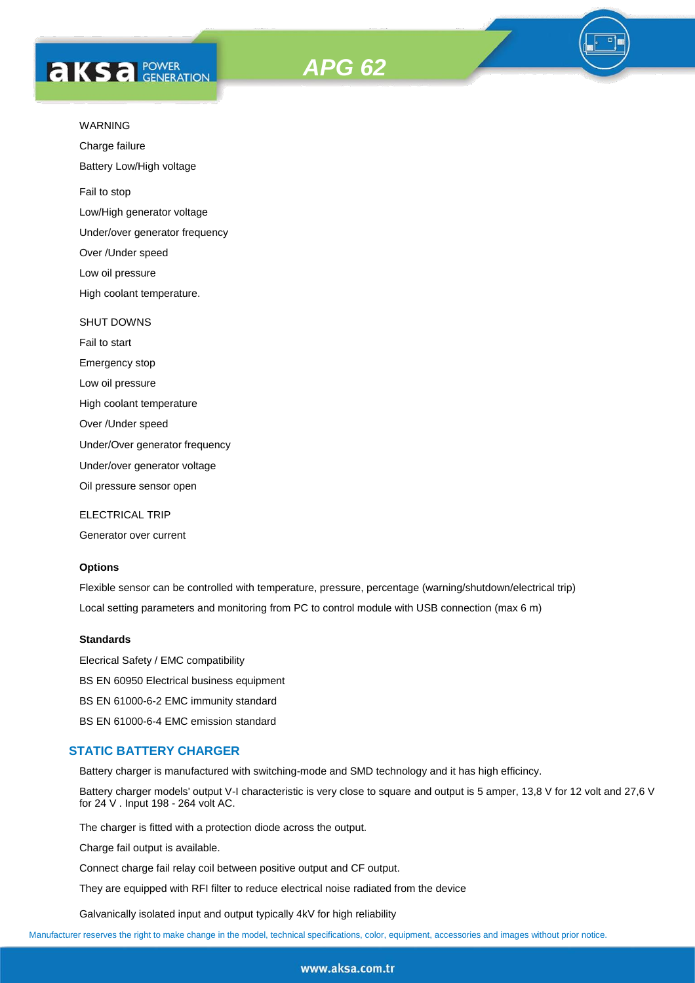



Charge failure

Battery Low/High voltage

Fail to stop

Low/High generator voltage

Under/over generator frequency

Over /Under speed

Low oil pressure

High coolant temperature.

#### SHUT DOWNS

Fail to start Emergency stop Low oil pressure High coolant temperature

Over /Under speed

Under/Over generator frequency

Under/over generator voltage

Oil pressure sensor open

ELECTRICAL TRIP

Generator over current

#### **Options**

Flexible sensor can be controlled with temperature, pressure, percentage (warning/shutdown/electrical trip) Local setting parameters and monitoring from PC to control module with USB connection (max 6 m)

#### **Standards**

Elecrical Safety / EMC compatibility BS EN 60950 Electrical business equipment BS EN 61000-6-2 EMC immunity standard BS EN 61000-6-4 EMC emission standard

#### **STATIC BATTERY CHARGER**

Battery charger is manufactured with switching-mode and SMD technology and it has high efficincy.

Battery charger models' output V-I characteristic is very close to square and output is 5 amper, 13,8 V for 12 volt and 27,6 V for 24 V . Input 198 - 264 volt AC.

The charger is fitted with a protection diode across the output.

Charge fail output is available.

Connect charge fail relay coil between positive output and CF output.

They are equipped with RFI filter to reduce electrical noise radiated from the device

Galvanically isolated input and output typically 4kV for high reliability

Manufacturer reserves the right to make change in the model, technical specifications, color, equipment, accessories and images without prior notice.